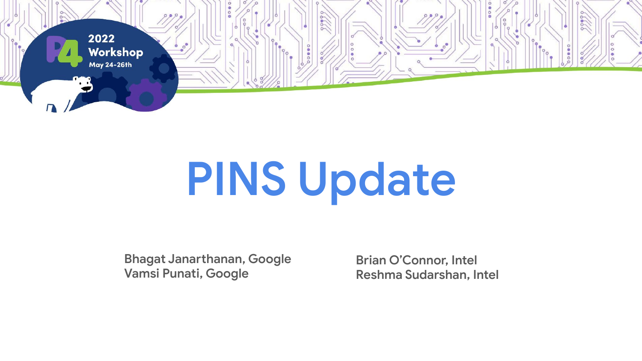

# **PINS Update**

**Bhagat Janarthanan, Google Vamsi Punati, Google**

**Brian O'Connor, Intel Reshma Sudarshan, Intel**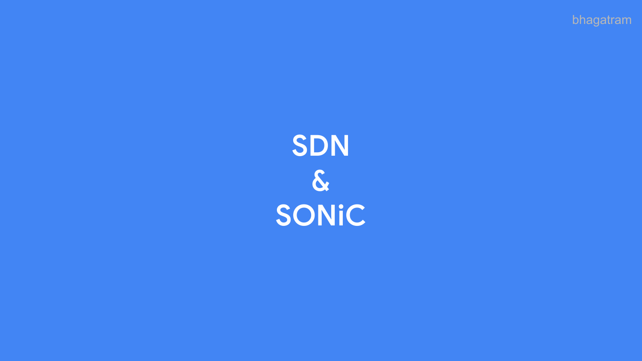bhagatram

# SDN  $|\boldsymbol{\delta}|$ SONiC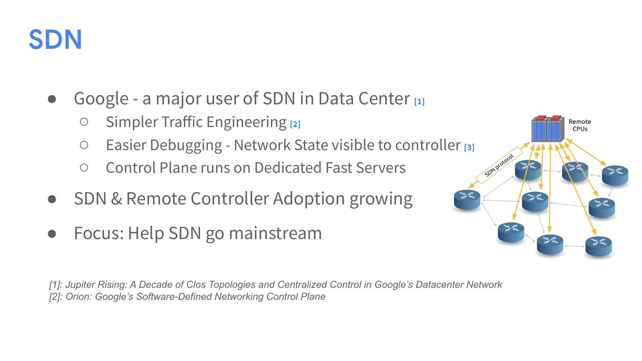

- Google a major user of SDN in Data Center [1]
	- Simpler Traffic Engineering **[2]**
	- Easier Debugging Network State visible to controller **[3]**
	- Control Plane runs on Dedicated Fast Servers
- **SDN & Remote Controller Adoption growing**
- Focus: Help SDN go mainstream

Remote CPUs

*[1]: Jupiter Rising: A Decade of Clos Topologies and Centralized Control in Google's Datacenter Network [2]: Orion: Google's Software-Defined Networking Control Plane*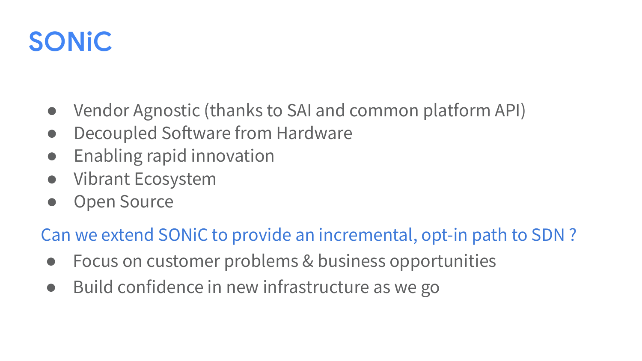### **SONiC**

- Vendor Agnostic (thanks to SAI and common platform API)
- Decoupled Software from Hardware
- Enabling rapid innovation
- Vibrant Ecosystem
- Open Source

#### Can we extend SONiC to provide an incremental, opt-in path to SDN ?

- Focus on customer problems & business opportunities
- Build confidence in new infrastructure as we go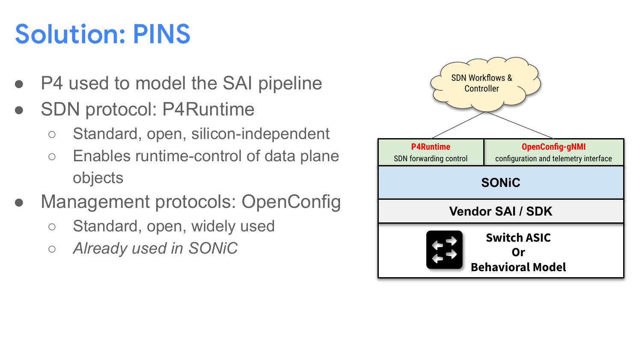# **Solution: PINS**

- P4 used to model the SAI pipeline
- SDN protocol: P4Runtime
	- Standard, open, silicon-independent
	- Enables runtime-control of data plane objects
- Management protocols: OpenConfig
	- Standard, open, widely used
	- *○ Already used in SONiC*

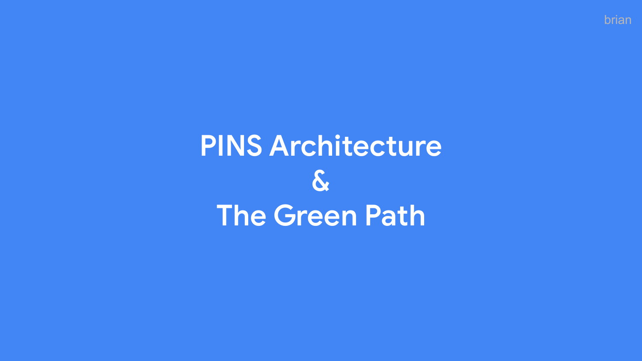# **PINS Architecture**  $|\mathcal{S}|$ **The Green Path**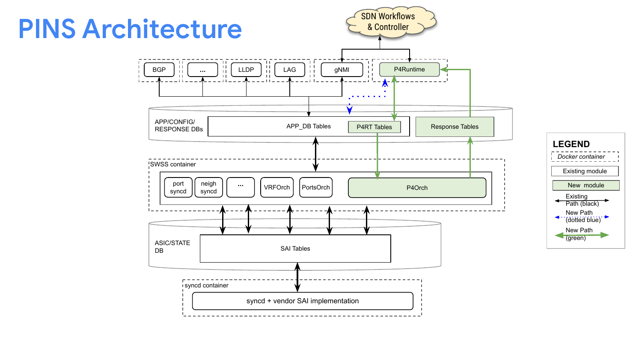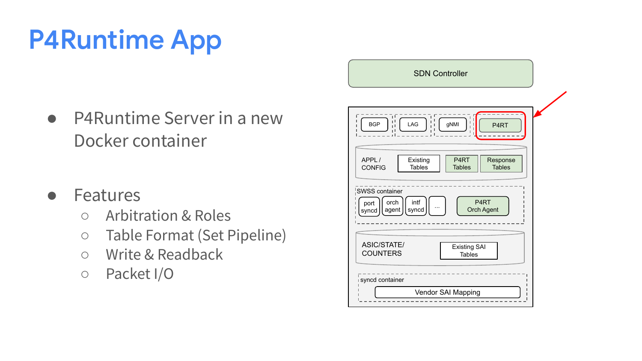# **P4Runtime App**

- P4Runtime Server in a new Docker container
- Features
	- Arbitration & Roles
	- Table Format (Set Pipeline)
	- Write & Readback
	- Packet I/O syncare is syncare in the syncare container

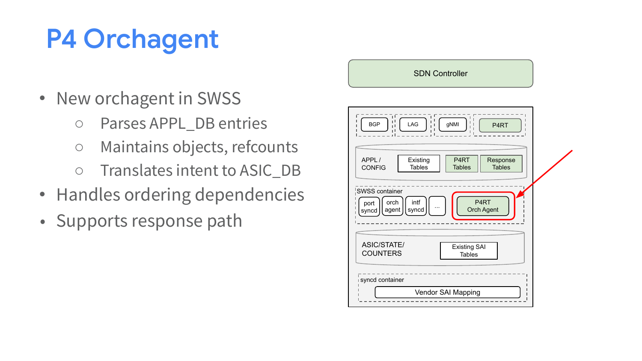# **P4 Orchagent**

- New orchagent in SWSS
	- Parses APPL\_DB entries
	- Maintains objects, refcounts
	- Translates intent to ASIC\_DB
- Handles ordering dependencies
- Supports response path

#### SDN Controller

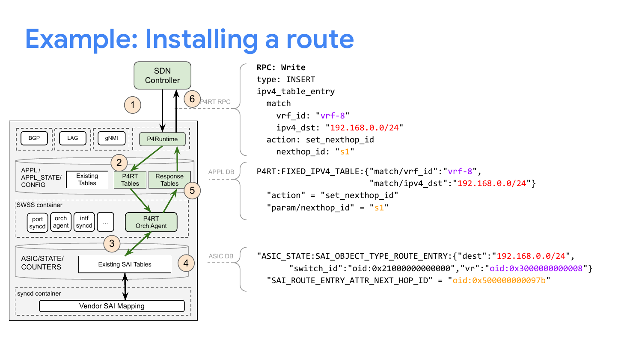### **Example: Installing a route**

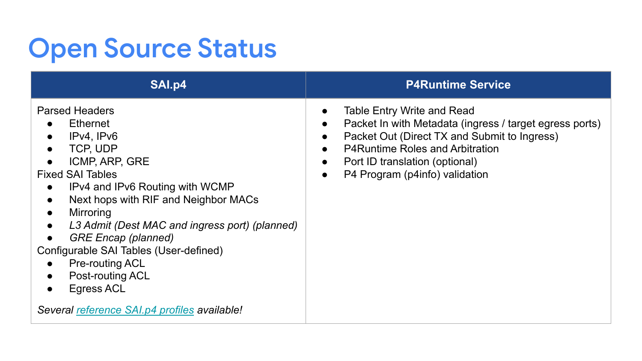# **Open Source Status**

| SAI.p4                                                                                                                                                                                                                                                                                                                                                                                                                                                                                                                                                    | <b>P4Runtime Service</b>                                                                                                                                                                                                                                                      |
|-----------------------------------------------------------------------------------------------------------------------------------------------------------------------------------------------------------------------------------------------------------------------------------------------------------------------------------------------------------------------------------------------------------------------------------------------------------------------------------------------------------------------------------------------------------|-------------------------------------------------------------------------------------------------------------------------------------------------------------------------------------------------------------------------------------------------------------------------------|
| <b>Parsed Headers</b><br>Ethernet<br>$\bullet$<br>IPv4, IPv6<br>$\bullet$<br>TCP, UDP<br>$\bullet$<br><b>ICMP, ARP, GRE</b><br>$\bullet$<br><b>Fixed SAI Tables</b><br>IPv4 and IPv6 Routing with WCMP<br>$\bullet$<br>Next hops with RIF and Neighbor MACs<br>$\bullet$<br>Mirroring<br>$\bullet$<br>L3 Admit (Dest MAC and ingress port) (planned)<br>$\bullet$<br><b>GRE Encap (planned)</b><br>$\bullet$<br>Configurable SAI Tables (User-defined)<br><b>Pre-routing ACL</b><br>$\bullet$<br>Post-routing ACL<br>$\bullet$<br>Egress ACL<br>$\bullet$ | Table Entry Write and Read<br>Packet In with Metadata (ingress / target egress ports)<br>Packet Out (Direct TX and Submit to Ingress)<br>$\bullet$<br><b>P4Runtime Roles and Arbitration</b><br>Port ID translation (optional)<br>P4 Program (p4info) validation<br>$\bullet$ |
| Several reference SAI.p4 profiles available!                                                                                                                                                                                                                                                                                                                                                                                                                                                                                                              |                                                                                                                                                                                                                                                                               |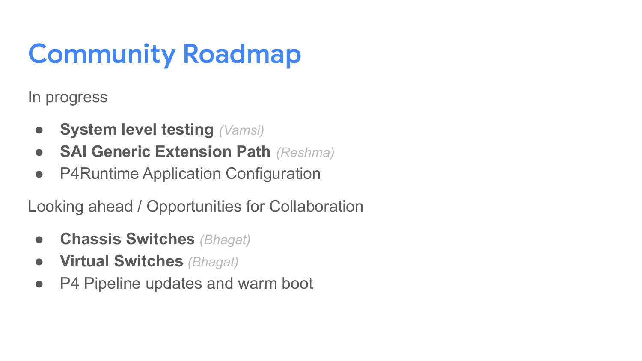# **Community Roadmap**

In progress

- **System level testing** *(Vamsi)*
- **SAI Generic Extension Path** *(Reshma)*
- P4Runtime Application Configuration

Looking ahead / Opportunities for Collaboration

- **● Chassis Switches** *(Bhagat)*
- **● Virtual Switches** *(Bhagat)*
- P4 Pipeline updates and warm boot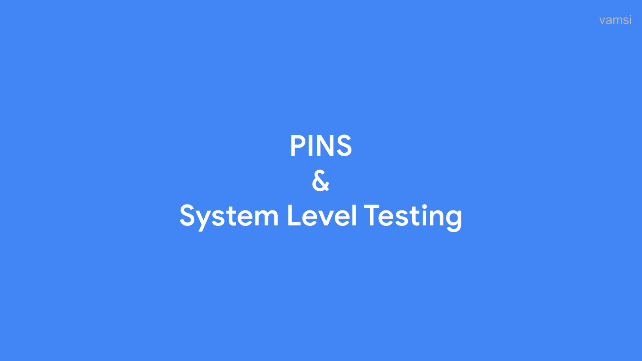

# **PINS**  $\delta$ System Level Testing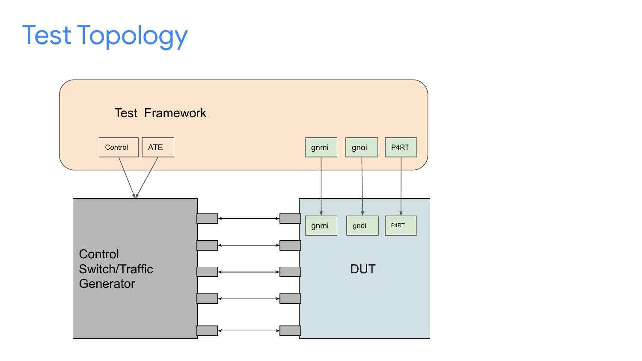# Test Topology

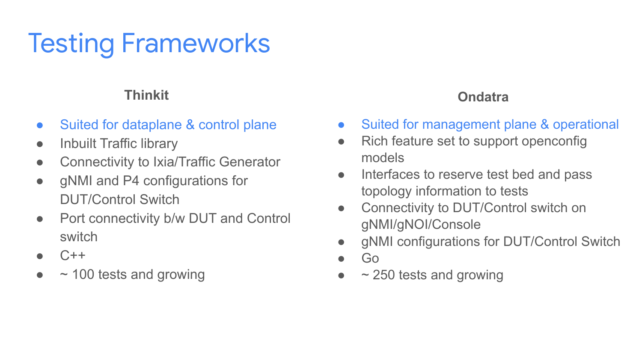# Testing Frameworks

#### **Thinkit**

- Suited for dataplane & control plane
- Inbuilt Traffic library
- Connectivity to Ixia/Traffic Generator
- gNMI and P4 configurations for DUT/Control Switch
- Port connectivity b/w DUT and Control switch
- $C++$
- $\sim$  100 tests and growing

#### **Ondatra**

- Suited for management plane & operational
- Rich feature set to support openconfig models
- Interfaces to reserve test bed and pass topology information to tests
- Connectivity to DUT/Control switch on gNMI/gNOI/Console
- gNMI configurations for DUT/Control Switch
- Go
- $\sim$  250 tests and growing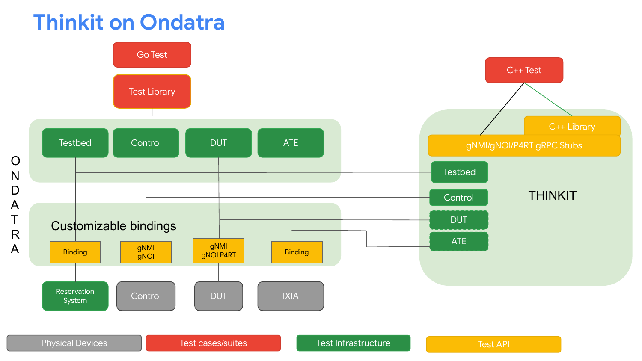#### **Thinkit on Ondatra**

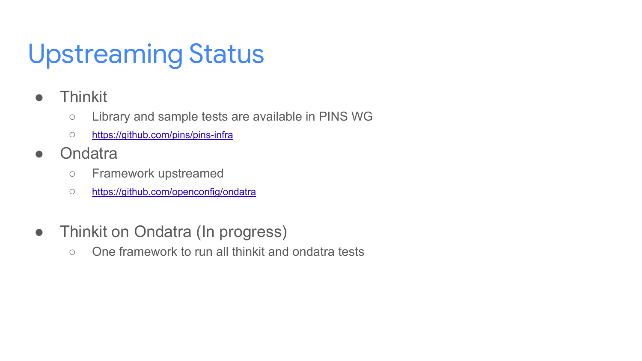## Upstreaming Status

- Thinkit
	- Library and sample tests are available in PINS WG
	- <https://github.com/pins/pins-infra>
- Ondatra
	- Framework upstreamed
	- <https://github.com/openconfig/ondatra>
- Thinkit on Ondatra (In progress)
	- One framework to run all thinkit and ondatra tests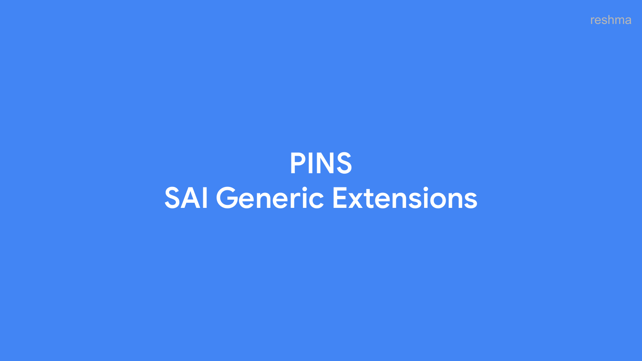reshma

# **PINS SAI Generic Extensions**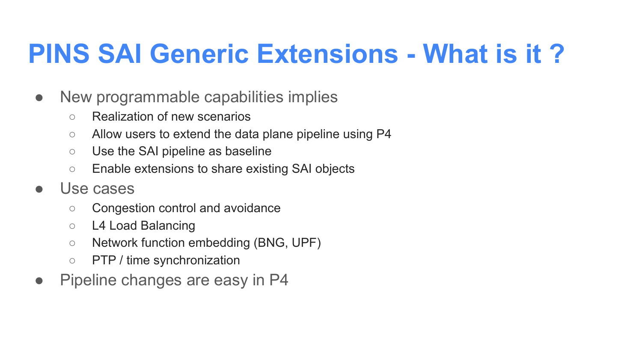### **PINS SAI Generic Extensions - What is it ?**

- New programmable capabilities implies
	- Realization of new scenarios
	- Allow users to extend the data plane pipeline using P4
	- Use the SAI pipeline as baseline
	- Enable extensions to share existing SAI objects
- Use cases
	- Congestion control and avoidance
	- L4 Load Balancing
	- Network function embedding (BNG, UPF)
	- PTP / time synchronization
- Pipeline changes are easy in P4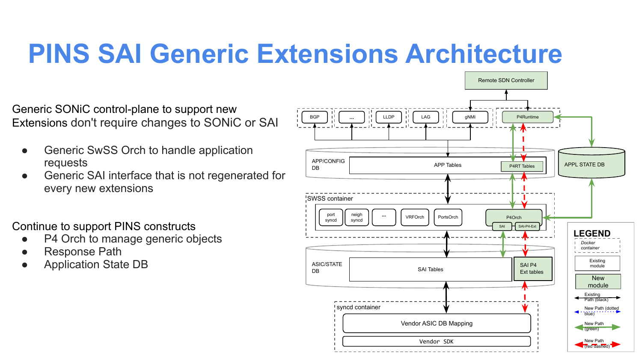### **PINS SAI Generic Extensions Architecture**

Generic SONiC control-plane to support new Extensions don't require changes to SONiC or SAI

- Generic SwSS Orch to handle application requests
- Generic SAI interface that is not regenerated for every new extensions

Continue to support PINS constructs

- P4 Orch to manage generic objects
- **Response Path**
- Application State DB

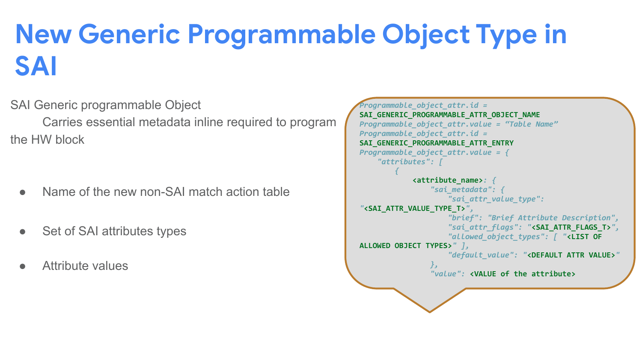### **New Generic Programmable Object Type in SAI**

SAI Generic programmable Object

 Carries essential metadata inline required to program the HW block

- Name of the new non-SAI match action table
- Set of SAI attributes types
- Attribute values

```
Programmable_object_attr.id = 
SAI_GENERIC_PROGRAMMABLE_ATTR_OBJECT_NAME
Programmable_object_attr.value = "Table Name"
Programmable_object_attr.id = 
SAI_GENERIC_PROGRAMMABLE_ATTR_ENTRY 
Programmable_object_attr.value = {
     "attributes": [
 {
             <attribute_name>: {
                 "sai_metadata": {
                     "sai_attr_value_type": 
"<SAI_ATTR_VALUE_TYPE_T>",
                     "brief": "Brief Attribute Description",
                     "sai_attr_flags": "<SAI_ATTR_FLAGS_T>",
                     "allowed_object_types": [ "<LIST OF 
ALLOWED OBJECT TYPES>" ],
                     "default_value": "<DEFAULT ATTR VALUE>"
 },
                 "value": <VALUE of the attribute>
```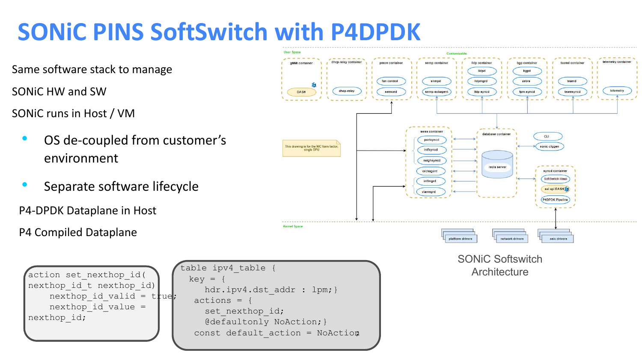### **SONiC PINS SoftSwitch with P4DPDK**

Same software stack to manage

SONiC HW and SW

SONiC runs in Host / VM

- OS de-coupled from customer's environment
- Separate software lifecycle

P4-DPDK Dataplane in Host

P4 Compiled Dataplane

```
nexthop id value =
action set nexthop id(
nexthop id t nexthop id)
    nexthop id valid = tr_{rel};
nexthop_id;
                             table ipv4_table {
                               key = \{hdr.ipv4.dst addr : lpm;}
                                actions =set nexthop id;
                                   @defaultonly NoAction;}
                                const default action = NoAction
```


SONiC Softswitch **Architecture**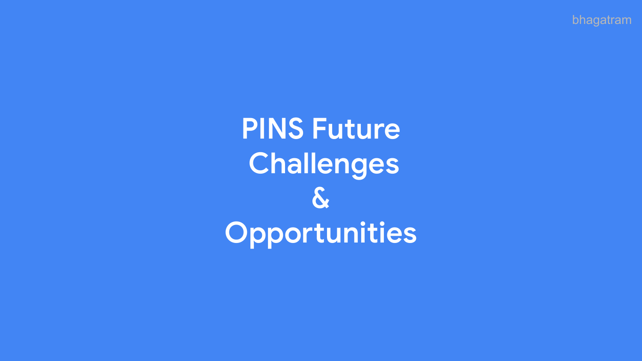bhagatram

**PINS Future Challenges & Opportunities**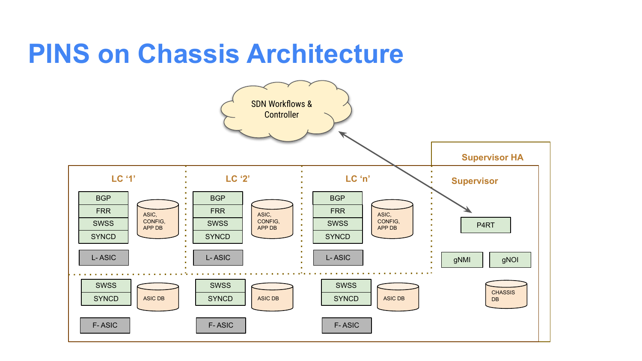### **PINS on Chassis Architecture**

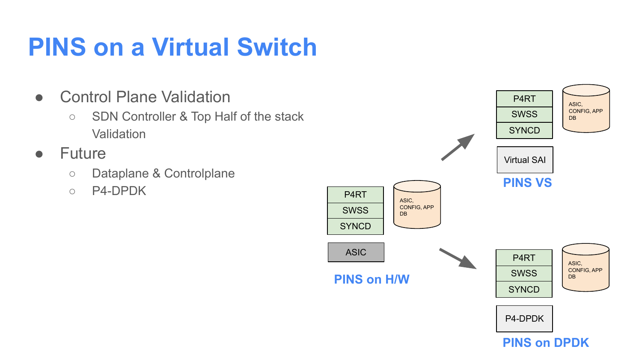### **PINS on a Virtual Switch**

- Control Plane Validation
	- SDN Controller & Top Half of the stack **Validation**
- Future
	- Dataplane & Controlplane
	- P4-DPDK